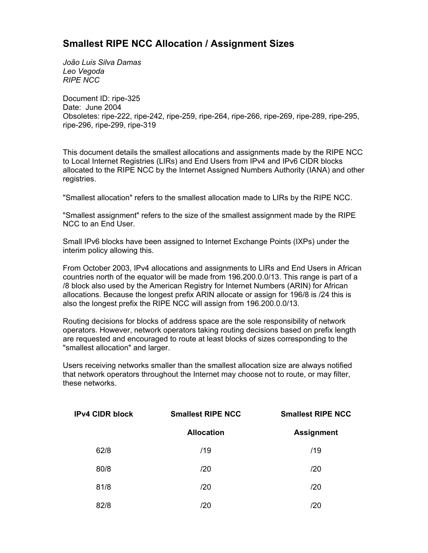## **Smallest RIPE NCC Allocation / Assignment Sizes**

*João Luis Silva Damas Leo Vegoda RIPE NCC*

Document ID: ripe-325 Date: June 2004 Obsoletes: ripe-222, ripe-242, ripe-259, ripe-264, ripe-266, ripe-269, ripe-289, ripe-295, ripe-296, ripe-299, ripe-319

This document details the smallest allocations and assignments made by the RIPE NCC to Local Internet Registries (LIRs) and End Users from IPv4 and IPv6 CIDR blocks allocated to the RIPE NCC by the Internet Assigned Numbers Authority (IANA) and other registries.

"Smallest allocation" refers to the smallest allocation made to LIRs by the RIPE NCC.

"Smallest assignment" refers to the size of the smallest assignment made by the RIPE NCC to an End User.

Small IPv6 blocks have been assigned to Internet Exchange Points (IXPs) under the interim policy allowing this.

From October 2003, IPv4 allocations and assignments to LIRs and End Users in African countries north of the equator will be made from 196.200.0.0/13. This range is part of a /8 block also used by the American Registry for Internet Numbers (ARIN) for African allocations. Because the longest prefix ARIN allocate or assign for 196/8 is /24 this is also the longest prefix the RIPE NCC will assign from 196.200.0.0/13.

Routing decisions for blocks of address space are the sole responsibility of network operators. However, network operators taking routing decisions based on prefix length are requested and encouraged to route at least blocks of sizes corresponding to the "smallest allocation" and larger.

Users receiving networks smaller than the smallest allocation size are always notified that network operators throughout the Internet may choose not to route, or may filter, these networks.

| <b>IPv4 CIDR block</b> | <b>Smallest RIPE NCC</b> | <b>Smallest RIPE NCC</b> |  |
|------------------------|--------------------------|--------------------------|--|
|                        | <b>Allocation</b>        | <b>Assignment</b>        |  |
| 62/8                   | /19                      | /19                      |  |
| 80/8                   | /20                      | /20                      |  |
| 81/8                   | /20                      | /20                      |  |
| 82/8                   | /20                      | /20                      |  |